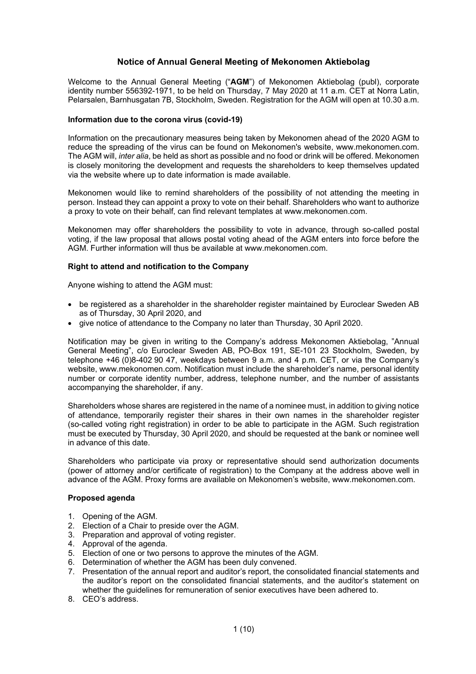# **Notice of Annual General Meeting of Mekonomen Aktiebolag**

Welcome to the Annual General Meeting ("**AGM**") of Mekonomen Aktiebolag (publ), corporate identity number 556392-1971, to be held on Thursday, 7 May 2020 at 11 a.m. CET at Norra Latin, Pelarsalen, Barnhusgatan 7B, Stockholm, Sweden. Registration for the AGM will open at 10.30 a.m.

### **Information due to the corona virus (covid-19)**

Information on the precautionary measures being taken by Mekonomen ahead of the 2020 AGM to reduce the spreading of the virus can be found on Mekonomen's website, www.mekonomen.com. The AGM will, *inter alia*, be held as short as possible and no food or drink will be offered. Mekonomen is closely monitoring the development and requests the shareholders to keep themselves updated via the website where up to date information is made available.

Mekonomen would like to remind shareholders of the possibility of not attending the meeting in person. Instead they can appoint a proxy to vote on their behalf. Shareholders who want to authorize a proxy to vote on their behalf, can find relevant templates at www.mekonomen.com.

Mekonomen may offer shareholders the possibility to vote in advance, through so-called postal voting, if the law proposal that allows postal voting ahead of the AGM enters into force before the AGM. Further information will thus be available at www.mekonomen.com.

## **Right to attend and notification to the Company**

Anyone wishing to attend the AGM must:

- be registered as a shareholder in the shareholder register maintained by Euroclear Sweden AB as of Thursday, 30 April 2020, and
- give notice of attendance to the Company no later than Thursday, 30 April 2020.

Notification may be given in writing to the Company's address Mekonomen Aktiebolag, "Annual General Meeting", c/o Euroclear Sweden AB, PO-Box 191, SE-101 23 Stockholm, Sweden, by telephone +46 (0)8-402 90 47, weekdays between 9 a.m. and 4 p.m. CET, or via the Company's website, www.mekonomen.com. Notification must include the shareholder's name, personal identity number or corporate identity number, address, telephone number, and the number of assistants accompanying the shareholder, if any.

Shareholders whose shares are registered in the name of a nominee must, in addition to giving notice of attendance, temporarily register their shares in their own names in the shareholder register (so-called voting right registration) in order to be able to participate in the AGM. Such registration must be executed by Thursday, 30 April 2020, and should be requested at the bank or nominee well in advance of this date.

Shareholders who participate via proxy or representative should send authorization documents (power of attorney and/or certificate of registration) to the Company at the address above well in advance of the AGM. Proxy forms are available on Mekonomen's website, www.mekonomen.com.

## **Proposed agenda**

- 1. Opening of the AGM.
- 2. Election of a Chair to preside over the AGM.
- 3. Preparation and approval of voting register.
- 4. Approval of the agenda.
- 5. Election of one or two persons to approve the minutes of the AGM.
- 6. Determination of whether the AGM has been duly convened.
- 7. Presentation of the annual report and auditor's report, the consolidated financial statements and the auditor's report on the consolidated financial statements, and the auditor's statement on whether the guidelines for remuneration of senior executives have been adhered to.
- 8. CEO's address.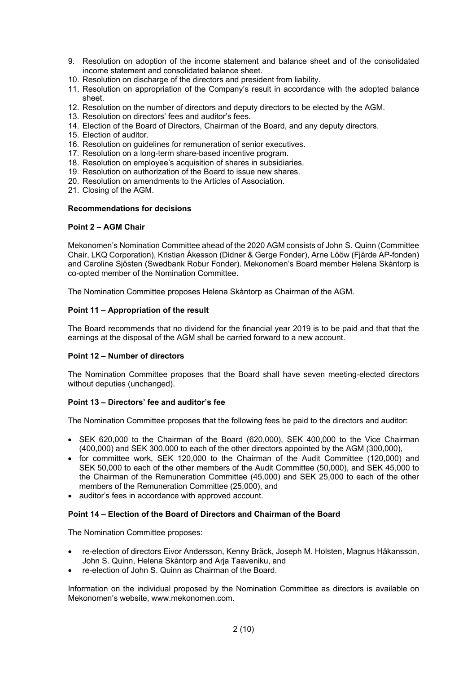- 9. Resolution on adoption of the income statement and balance sheet and of the consolidated income statement and consolidated balance sheet.
- 10. Resolution on discharge of the directors and president from liability.
- 11. Resolution on appropriation of the Company's result in accordance with the adopted balance sheet.
- 12. Resolution on the number of directors and deputy directors to be elected by the AGM.
- 13. Resolution on directors' fees and auditor's fees.
- 14. Election of the Board of Directors, Chairman of the Board, and any deputy directors.
- 15. Election of auditor.
- 16. Resolution on guidelines for remuneration of senior executives.
- 17. Resolution on a long-term share-based incentive program.
- 18. Resolution on employee's acquisition of shares in subsidiaries.
- 19. Resolution on authorization of the Board to issue new shares.
- 20. Resolution on amendments to the Articles of Association.
- 21. Closing of the AGM.

### **Recommendations for decisions**

### **Point 2 – AGM Chair**

Mekonomen's Nomination Committee ahead of the 2020 AGM consists of John S. Quinn (Committee Chair, LKQ Corporation), Kristian Åkesson (Didner & Gerge Fonder), Arne Lööw (Fjärde AP-fonden) and Caroline Sjösten (Swedbank Robur Fonder). Mekonomen's Board member Helena Skåntorp is co-opted member of the Nomination Committee.

The Nomination Committee proposes Helena Skåntorp as Chairman of the AGM.

### **Point 11 – Appropriation of the result**

The Board recommends that no dividend for the financial year 2019 is to be paid and that that the earnings at the disposal of the AGM shall be carried forward to a new account.

# **Point 12 – Number of directors**

The Nomination Committee proposes that the Board shall have seven meeting-elected directors without deputies (unchanged).

## **Point 13 – Directors' fee and auditor's fee**

The Nomination Committee proposes that the following fees be paid to the directors and auditor:

- SEK 620,000 to the Chairman of the Board (620,000), SEK 400,000 to the Vice Chairman (400,000) and SEK 300,000 to each of the other directors appointed by the AGM (300,000),
- for committee work, SEK 120,000 to the Chairman of the Audit Committee (120,000) and SEK 50,000 to each of the other members of the Audit Committee (50,000), and SEK 45,000 to the Chairman of the Remuneration Committee (45,000) and SEK 25,000 to each of the other members of the Remuneration Committee (25,000), and
- auditor's fees in accordance with approved account.

## **Point 14 – Election of the Board of Directors and Chairman of the Board**

The Nomination Committee proposes:

- re-election of directors Eivor Andersson, Kenny Bräck, Joseph M. Holsten, Magnus Håkansson, John S. Quinn, Helena Skåntorp and Arja Taaveniku, and
- re-election of John S. Quinn as Chairman of the Board.

Information on the individual proposed by the Nomination Committee as directors is available on Mekonomen's website, www.mekonomen.com.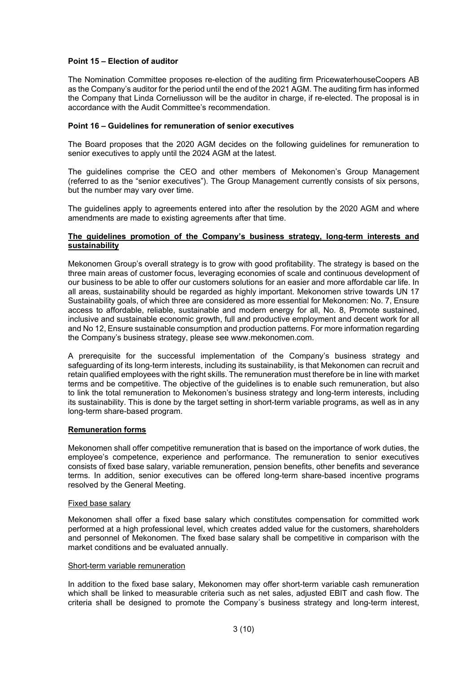## **Point 15 – Election of auditor**

The Nomination Committee proposes re-election of the auditing firm PricewaterhouseCoopers AB as the Company's auditor for the period until the end of the 2021 AGM. The auditing firm has informed the Company that Linda Corneliusson will be the auditor in charge, if re-elected. The proposal is in accordance with the Audit Committee's recommendation.

### **Point 16 – Guidelines for remuneration of senior executives**

The Board proposes that the 2020 AGM decides on the following guidelines for remuneration to senior executives to apply until the 2024 AGM at the latest.

The guidelines comprise the CEO and other members of Mekonomen's Group Management (referred to as the "senior executives"). The Group Management currently consists of six persons, but the number may vary over time.

The guidelines apply to agreements entered into after the resolution by the 2020 AGM and where amendments are made to existing agreements after that time.

### **The guidelines promotion of the Company's business strategy, long-term interests and sustainability**

Mekonomen Group's overall strategy is to grow with good profitability. The strategy is based on the three main areas of customer focus, leveraging economies of scale and continuous development of our business to be able to offer our customers solutions for an easier and more affordable car life. In all areas, sustainability should be regarded as highly important. Mekonomen strive towards UN 17 Sustainability goals, of which three are considered as more essential for Mekonomen: No. 7, Ensure access to affordable, reliable, sustainable and modern energy for all, No. 8, Promote sustained, inclusive and sustainable economic growth, full and productive employment and decent work for all and No 12, Ensure sustainable consumption and production patterns. For more information regarding the Company's business strategy, please see www.mekonomen.com.

A prerequisite for the successful implementation of the Company's business strategy and safeguarding of its long-term interests, including its sustainability, is that Mekonomen can recruit and retain qualified employees with the right skills. The remuneration must therefore be in line with market terms and be competitive. The objective of the guidelines is to enable such remuneration, but also to link the total remuneration to Mekonomen's business strategy and long-term interests, including its sustainability. This is done by the target setting in short-term variable programs, as well as in any long-term share-based program.

#### **Remuneration forms**

Mekonomen shall offer competitive remuneration that is based on the importance of work duties, the employee's competence, experience and performance. The remuneration to senior executives consists of fixed base salary, variable remuneration, pension benefits, other benefits and severance terms. In addition, senior executives can be offered long-term share-based incentive programs resolved by the General Meeting.

### Fixed base salary

Mekonomen shall offer a fixed base salary which constitutes compensation for committed work performed at a high professional level, which creates added value for the customers, shareholders and personnel of Mekonomen. The fixed base salary shall be competitive in comparison with the market conditions and be evaluated annually.

#### Short-term variable remuneration

In addition to the fixed base salary, Mekonomen may offer short-term variable cash remuneration which shall be linked to measurable criteria such as net sales, adjusted EBIT and cash flow. The criteria shall be designed to promote the Company´s business strategy and long-term interest,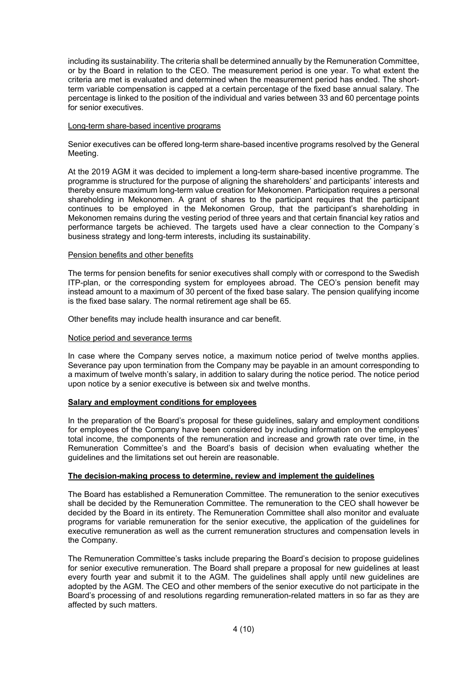including its sustainability. The criteria shall be determined annually by the Remuneration Committee, or by the Board in relation to the CEO. The measurement period is one year. To what extent the criteria are met is evaluated and determined when the measurement period has ended. The shortterm variable compensation is capped at a certain percentage of the fixed base annual salary. The percentage is linked to the position of the individual and varies between 33 and 60 percentage points for senior executives.

### Long-term share-based incentive programs

Senior executives can be offered long-term share-based incentive programs resolved by the General Meeting.

At the 2019 AGM it was decided to implement a long-term share-based incentive programme. The programme is structured for the purpose of aligning the shareholders' and participants' interests and thereby ensure maximum long-term value creation for Mekonomen. Participation requires a personal shareholding in Mekonomen. A grant of shares to the participant requires that the participant continues to be employed in the Mekonomen Group, that the participant's shareholding in Mekonomen remains during the vesting period of three years and that certain financial key ratios and performance targets be achieved. The targets used have a clear connection to the Company´s business strategy and long-term interests, including its sustainability.

### Pension benefits and other benefits

The terms for pension benefits for senior executives shall comply with or correspond to the Swedish ITP-plan, or the corresponding system for employees abroad. The CEO's pension benefit may instead amount to a maximum of 30 percent of the fixed base salary. The pension qualifying income is the fixed base salary. The normal retirement age shall be 65.

Other benefits may include health insurance and car benefit.

### Notice period and severance terms

In case where the Company serves notice, a maximum notice period of twelve months applies. Severance pay upon termination from the Company may be payable in an amount corresponding to a maximum of twelve month's salary, in addition to salary during the notice period. The notice period upon notice by a senior executive is between six and twelve months.

## **Salary and employment conditions for employees**

In the preparation of the Board's proposal for these guidelines, salary and employment conditions for employees of the Company have been considered by including information on the employees' total income, the components of the remuneration and increase and growth rate over time, in the Remuneration Committee's and the Board's basis of decision when evaluating whether the guidelines and the limitations set out herein are reasonable.

## **The decision-making process to determine, review and implement the guidelines**

The Board has established a Remuneration Committee. The remuneration to the senior executives shall be decided by the Remuneration Committee. The remuneration to the CEO shall however be decided by the Board in its entirety. The Remuneration Committee shall also monitor and evaluate programs for variable remuneration for the senior executive, the application of the guidelines for executive remuneration as well as the current remuneration structures and compensation levels in the Company.

The Remuneration Committee's tasks include preparing the Board's decision to propose guidelines for senior executive remuneration. The Board shall prepare a proposal for new guidelines at least every fourth year and submit it to the AGM. The guidelines shall apply until new guidelines are adopted by the AGM. The CEO and other members of the senior executive do not participate in the Board's processing of and resolutions regarding remuneration-related matters in so far as they are affected by such matters.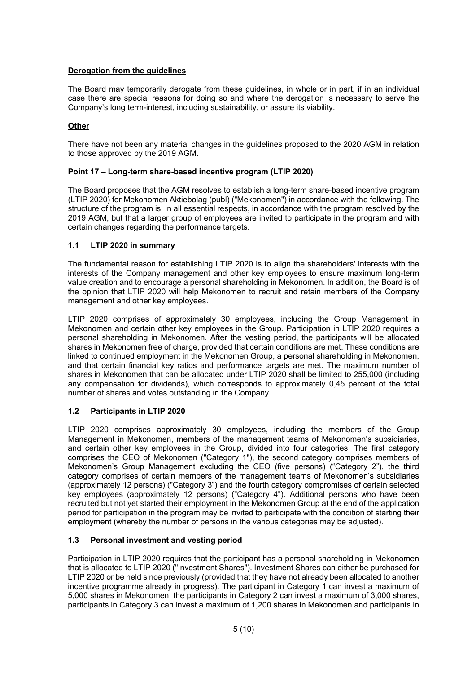# **Derogation from the guidelines**

The Board may temporarily derogate from these guidelines, in whole or in part, if in an individual case there are special reasons for doing so and where the derogation is necessary to serve the Company's long term-interest, including sustainability, or assure its viability.

# **Other**

There have not been any material changes in the guidelines proposed to the 2020 AGM in relation to those approved by the 2019 AGM.

## **Point 17 – Long-term share-based incentive program (LTIP 2020)**

The Board proposes that the AGM resolves to establish a long-term share-based incentive program (LTIP 2020) for Mekonomen Aktiebolag (publ) ("Mekonomen") in accordance with the following. The structure of the program is, in all essential respects, in accordance with the program resolved by the 2019 AGM, but that a larger group of employees are invited to participate in the program and with certain changes regarding the performance targets.

# **1.1 LTIP 2020 in summary**

The fundamental reason for establishing LTIP 2020 is to align the shareholders' interests with the interests of the Company management and other key employees to ensure maximum long-term value creation and to encourage a personal shareholding in Mekonomen. In addition, the Board is of the opinion that LTIP 2020 will help Mekonomen to recruit and retain members of the Company management and other key employees.

LTIP 2020 comprises of approximately 30 employees, including the Group Management in Mekonomen and certain other key employees in the Group. Participation in LTIP 2020 requires a personal shareholding in Mekonomen. After the vesting period, the participants will be allocated shares in Mekonomen free of charge, provided that certain conditions are met. These conditions are linked to continued employment in the Mekonomen Group, a personal shareholding in Mekonomen, and that certain financial key ratios and performance targets are met. The maximum number of shares in Mekonomen that can be allocated under LTIP 2020 shall be limited to 255,000 (including any compensation for dividends), which corresponds to approximately 0,45 percent of the total number of shares and votes outstanding in the Company.

# **1.2 Participants in LTIP 2020**

LTIP 2020 comprises approximately 30 employees, including the members of the Group Management in Mekonomen, members of the management teams of Mekonomen's subsidiaries, and certain other key employees in the Group, divided into four categories. The first category comprises the CEO of Mekonomen ("Category 1"), the second category comprises members of Mekonomen's Group Management excluding the CEO (five persons) ("Category 2"), the third category comprises of certain members of the management teams of Mekonomen's subsidiaries (approximately 12 persons) ("Category 3") and the fourth category compromises of certain selected key employees (approximately 12 persons) ("Category 4"). Additional persons who have been recruited but not yet started their employment in the Mekonomen Group at the end of the application period for participation in the program may be invited to participate with the condition of starting their employment (whereby the number of persons in the various categories may be adjusted).

# **1.3 Personal investment and vesting period**

Participation in LTIP 2020 requires that the participant has a personal shareholding in Mekonomen that is allocated to LTIP 2020 ("Investment Shares"). Investment Shares can either be purchased for LTIP 2020 or be held since previously (provided that they have not already been allocated to another incentive programme already in progress). The participant in Category 1 can invest a maximum of 5,000 shares in Mekonomen, the participants in Category 2 can invest a maximum of 3,000 shares, participants in Category 3 can invest a maximum of 1,200 shares in Mekonomen and participants in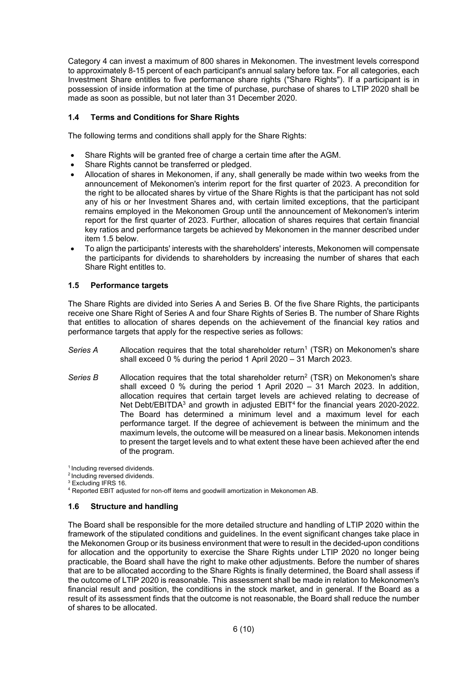Category 4 can invest a maximum of 800 shares in Mekonomen. The investment levels correspond to approximately 8-15 percent of each participant's annual salary before tax. For all categories, each Investment Share entitles to five performance share rights ("Share Rights"). If a participant is in possession of inside information at the time of purchase, purchase of shares to LTIP 2020 shall be made as soon as possible, but not later than 31 December 2020.

# **1.4 Terms and Conditions for Share Rights**

The following terms and conditions shall apply for the Share Rights:

- Share Rights will be granted free of charge a certain time after the AGM.
- Share Rights cannot be transferred or pledged.
- Allocation of shares in Mekonomen, if any, shall generally be made within two weeks from the announcement of Mekonomen's interim report for the first quarter of 2023. A precondition for the right to be allocated shares by virtue of the Share Rights is that the participant has not sold any of his or her Investment Shares and, with certain limited exceptions, that the participant remains employed in the Mekonomen Group until the announcement of Mekonomen's interim report for the first quarter of 2023. Further, allocation of shares requires that certain financial key ratios and performance targets be achieved by Mekonomen in the manner described under item 1.5 below.
- To align the participants' interests with the shareholders' interests, Mekonomen will compensate the participants for dividends to shareholders by increasing the number of shares that each Share Right entitles to.

# **1.5 Performance targets**

The Share Rights are divided into Series A and Series B. Of the five Share Rights, the participants receive one Share Right of Series A and four Share Rights of Series B. The number of Share Rights that entitles to allocation of shares depends on the achievement of the financial key ratios and performance targets that apply for the respective series as follows:

- Series A Allocation requires that the total shareholder return<sup>1</sup> (TSR) on Mekonomen's share shall exceed 0 % during the period 1 April 2020 – 31 March 2023.
- *Series B* Allocation requires that the total shareholder return<sup>2</sup> (TSR) on Mekonomen's share shall exceed 0 % during the period 1 April 2020 – 31 March 2023. In addition, allocation requires that certain target levels are achieved relating to decrease of Net Debt/EBITDA<sup>3</sup> and growth in adjusted EBIT<sup>4</sup> for the financial years 2020-2022. The Board has determined a minimum level and a maximum level for each performance target. If the degree of achievement is between the minimum and the maximum levels, the outcome will be measured on a linear basis. Mekonomen intends to present the target levels and to what extent these have been achieved after the end of the program.

<sup>1</sup> Including reversed dividends.

- 2 Including reversed dividends.
- <sup>3</sup> Excluding IFRS 16.

<sup>4</sup> Reported EBIT adjusted for non-off items and goodwill amortization in Mekonomen AB.

## **1.6 Structure and handling**

The Board shall be responsible for the more detailed structure and handling of LTIP 2020 within the framework of the stipulated conditions and guidelines. In the event significant changes take place in the Mekonomen Group or its business environment that were to result in the decided-upon conditions for allocation and the opportunity to exercise the Share Rights under LTIP 2020 no longer being practicable, the Board shall have the right to make other adjustments. Before the number of shares that are to be allocated according to the Share Rights is finally determined, the Board shall assess if the outcome of LTIP 2020 is reasonable. This assessment shall be made in relation to Mekonomen's financial result and position, the conditions in the stock market, and in general. If the Board as a result of its assessment finds that the outcome is not reasonable, the Board shall reduce the number of shares to be allocated.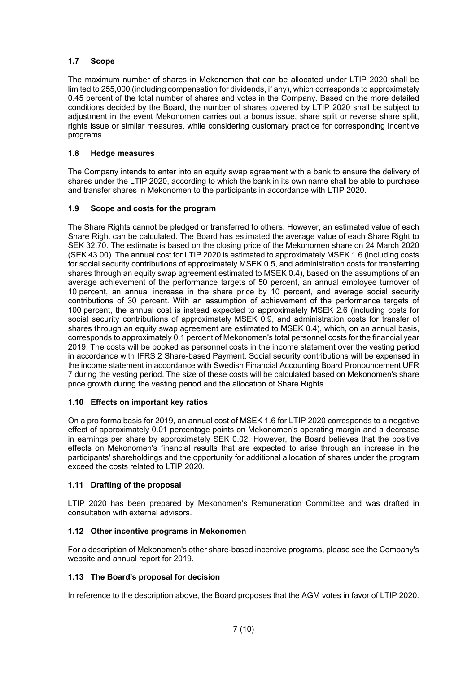# **1.7 Scope**

The maximum number of shares in Mekonomen that can be allocated under LTIP 2020 shall be limited to 255,000 (including compensation for dividends, if any), which corresponds to approximately 0.45 percent of the total number of shares and votes in the Company. Based on the more detailed conditions decided by the Board, the number of shares covered by LTIP 2020 shall be subject to adjustment in the event Mekonomen carries out a bonus issue, share split or reverse share split, rights issue or similar measures, while considering customary practice for corresponding incentive programs.

# **1.8 Hedge measures**

The Company intends to enter into an equity swap agreement with a bank to ensure the delivery of shares under the LTIP 2020, according to which the bank in its own name shall be able to purchase and transfer shares in Mekonomen to the participants in accordance with LTIP 2020.

# **1.9 Scope and costs for the program**

The Share Rights cannot be pledged or transferred to others. However, an estimated value of each Share Right can be calculated. The Board has estimated the average value of each Share Right to SEK 32.70. The estimate is based on the closing price of the Mekonomen share on 24 March 2020 (SEK 43.00). The annual cost for LTIP 2020 is estimated to approximately MSEK 1.6 (including costs for social security contributions of approximately MSEK 0.5, and administration costs for transferring shares through an equity swap agreement estimated to MSEK 0.4), based on the assumptions of an average achievement of the performance targets of 50 percent, an annual employee turnover of 10 percent, an annual increase in the share price by 10 percent, and average social security contributions of 30 percent. With an assumption of achievement of the performance targets of 100 percent, the annual cost is instead expected to approximately MSEK 2.6 (including costs for social security contributions of approximately MSEK 0.9, and administration costs for transfer of shares through an equity swap agreement are estimated to MSEK 0.4), which, on an annual basis, corresponds to approximately 0.1 percent of Mekonomen's total personnel costs for the financial year 2019. The costs will be booked as personnel costs in the income statement over the vesting period in accordance with IFRS 2 Share-based Payment. Social security contributions will be expensed in the income statement in accordance with Swedish Financial Accounting Board Pronouncement UFR 7 during the vesting period. The size of these costs will be calculated based on Mekonomen's share price growth during the vesting period and the allocation of Share Rights.

# **1.10 Effects on important key ratios**

On a pro forma basis for 2019, an annual cost of MSEK 1.6 for LTIP 2020 corresponds to a negative effect of approximately 0.01 percentage points on Mekonomen's operating margin and a decrease in earnings per share by approximately SEK 0.02. However, the Board believes that the positive effects on Mekonomen's financial results that are expected to arise through an increase in the participants' shareholdings and the opportunity for additional allocation of shares under the program exceed the costs related to LTIP 2020.

## **1.11 Drafting of the proposal**

LTIP 2020 has been prepared by Mekonomen's Remuneration Committee and was drafted in consultation with external advisors.

## **1.12 Other incentive programs in Mekonomen**

For a description of Mekonomen's other share-based incentive programs, please see the Company's website and annual report for 2019.

## **1.13 The Board's proposal for decision**

In reference to the description above, the Board proposes that the AGM votes in favor of LTIP 2020.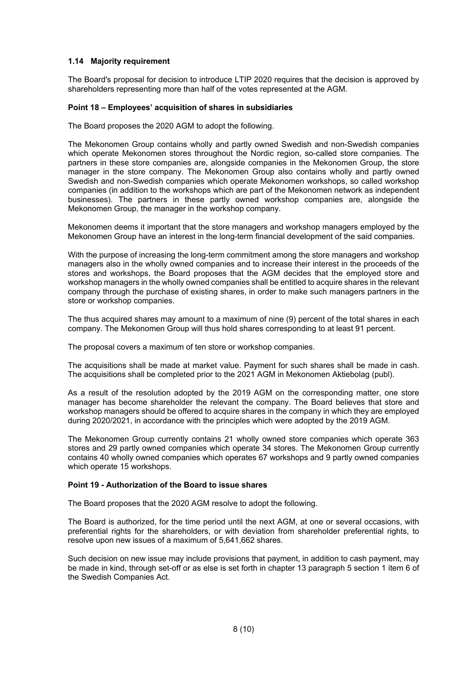# **1.14 Majority requirement**

The Board's proposal for decision to introduce LTIP 2020 requires that the decision is approved by shareholders representing more than half of the votes represented at the AGM.

## **Point 18 – Employees' acquisition of shares in subsidiaries**

The Board proposes the 2020 AGM to adopt the following.

The Mekonomen Group contains wholly and partly owned Swedish and non-Swedish companies which operate Mekonomen stores throughout the Nordic region, so-called store companies. The partners in these store companies are, alongside companies in the Mekonomen Group, the store manager in the store company. The Mekonomen Group also contains wholly and partly owned Swedish and non-Swedish companies which operate Mekonomen workshops, so called workshop companies (in addition to the workshops which are part of the Mekonomen network as independent businesses). The partners in these partly owned workshop companies are, alongside the Mekonomen Group, the manager in the workshop company.

Mekonomen deems it important that the store managers and workshop managers employed by the Mekonomen Group have an interest in the long-term financial development of the said companies.

With the purpose of increasing the long-term commitment among the store managers and workshop managers also in the wholly owned companies and to increase their interest in the proceeds of the stores and workshops, the Board proposes that the AGM decides that the employed store and workshop managers in the wholly owned companies shall be entitled to acquire shares in the relevant company through the purchase of existing shares, in order to make such managers partners in the store or workshop companies.

The thus acquired shares may amount to a maximum of nine (9) percent of the total shares in each company. The Mekonomen Group will thus hold shares corresponding to at least 91 percent.

The proposal covers a maximum of ten store or workshop companies.

The acquisitions shall be made at market value. Payment for such shares shall be made in cash. The acquisitions shall be completed prior to the 2021 AGM in Mekonomen Aktiebolag (publ).

As a result of the resolution adopted by the 2019 AGM on the corresponding matter, one store manager has become shareholder the relevant the company. The Board believes that store and workshop managers should be offered to acquire shares in the company in which they are employed during 2020/2021, in accordance with the principles which were adopted by the 2019 AGM.

The Mekonomen Group currently contains 21 wholly owned store companies which operate 363 stores and 29 partly owned companies which operate 34 stores. The Mekonomen Group currently contains 40 wholly owned companies which operates 67 workshops and 9 partly owned companies which operate 15 workshops.

## **Point 19 - Authorization of the Board to issue shares**

The Board proposes that the 2020 AGM resolve to adopt the following.

The Board is authorized, for the time period until the next AGM, at one or several occasions, with preferential rights for the shareholders, or with deviation from shareholder preferential rights, to resolve upon new issues of a maximum of 5,641,662 shares.

Such decision on new issue may include provisions that payment, in addition to cash payment, may be made in kind, through set-off or as else is set forth in chapter 13 paragraph 5 section 1 item 6 of the Swedish Companies Act.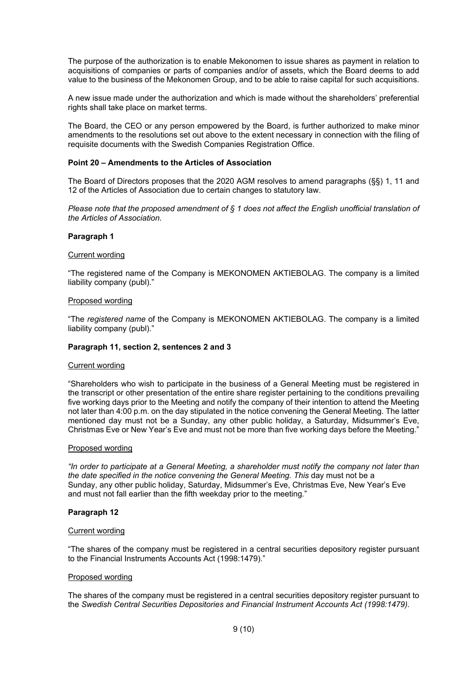The purpose of the authorization is to enable Mekonomen to issue shares as payment in relation to acquisitions of companies or parts of companies and/or of assets, which the Board deems to add value to the business of the Mekonomen Group, and to be able to raise capital for such acquisitions.

A new issue made under the authorization and which is made without the shareholders' preferential rights shall take place on market terms.

The Board, the CEO or any person empowered by the Board, is further authorized to make minor amendments to the resolutions set out above to the extent necessary in connection with the filing of requisite documents with the Swedish Companies Registration Office.

### **Point 20 – Amendments to the Articles of Association**

The Board of Directors proposes that the 2020 AGM resolves to amend paragraphs (§§) 1, 11 and 12 of the Articles of Association due to certain changes to statutory law.

*Please note that the proposed amendment of § 1 does not affect the English unofficial translation of the Articles of Association.* 

#### **Paragraph 1**

# Current wording

"The registered name of the Company is MEKONOMEN AKTIEBOLAG. The company is a limited liability company (publ)."

### Proposed wording

"The *registered name* of the Company is MEKONOMEN AKTIEBOLAG. The company is a limited liability company (publ)."

### **Paragraph 11, section 2, sentences 2 and 3**

#### Current wording

"Shareholders who wish to participate in the business of a General Meeting must be registered in the transcript or other presentation of the entire share register pertaining to the conditions prevailing five working days prior to the Meeting and notify the company of their intention to attend the Meeting not later than 4:00 p.m. on the day stipulated in the notice convening the General Meeting. The latter mentioned day must not be a Sunday, any other public holiday, a Saturday, Midsummer's Eve, Christmas Eve or New Year's Eve and must not be more than five working days before the Meeting."

#### Proposed wording

*"In order to participate at a General Meeting, a shareholder must notify the company not later than the date specified in the notice convening the General Meeting. This* day must not be a Sunday, any other public holiday, Saturday, Midsummer's Eve, Christmas Eve, New Year's Eve and must not fall earlier than the fifth weekday prior to the meeting*.*"

#### **Paragraph 12**

### Current wording

"The shares of the company must be registered in a central securities depository register pursuant to the Financial Instruments Accounts Act (1998:1479)."

#### Proposed wording

The shares of the company must be registered in a central securities depository register pursuant to the *Swedish Central Securities Depositories and Financial Instrument Accounts Act (1998:1479)*.